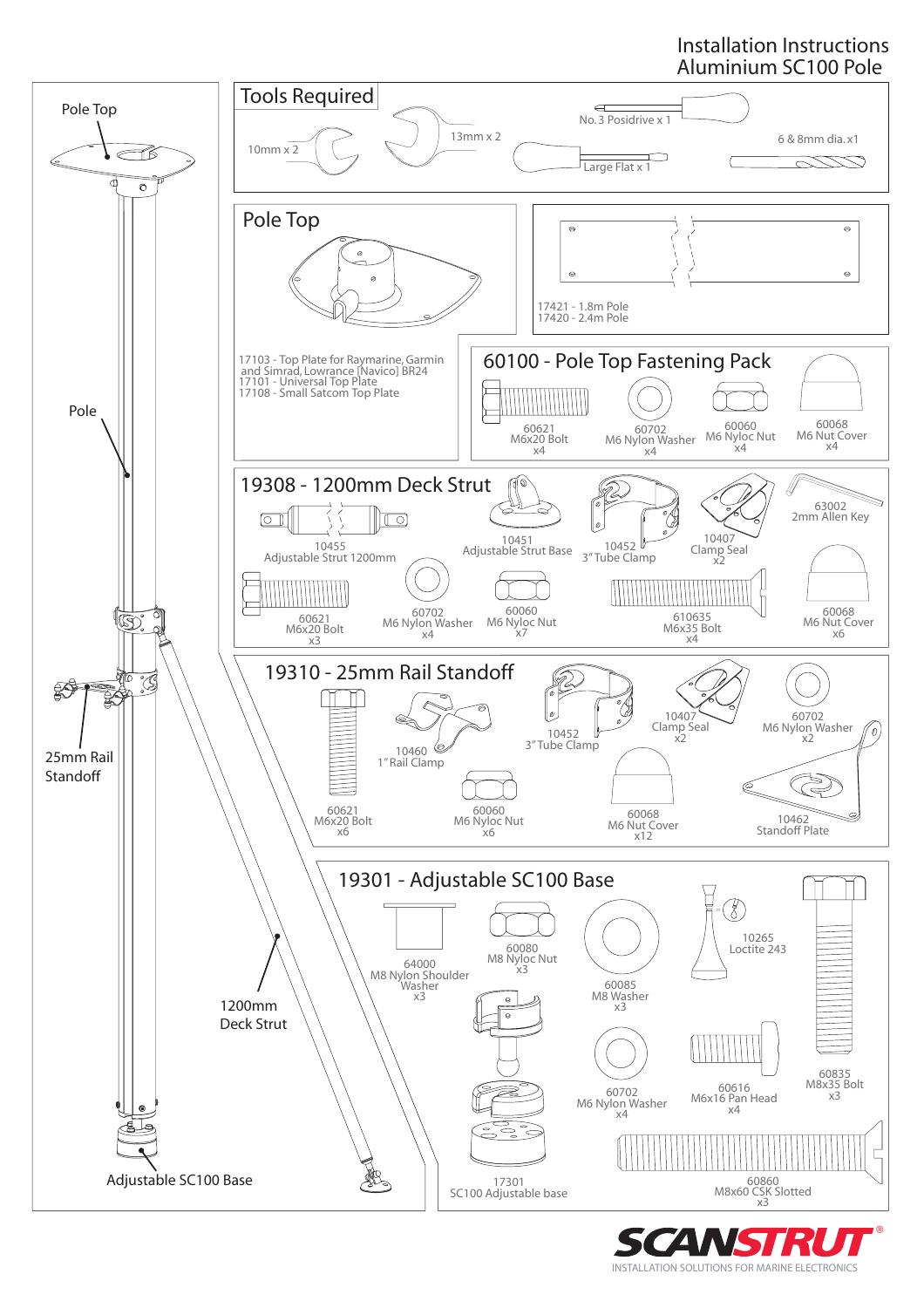# Installation Instructions Aluminium SC100 Pole



INSTALLATION SOLUTIONS FOR MARINE ELECTRONICS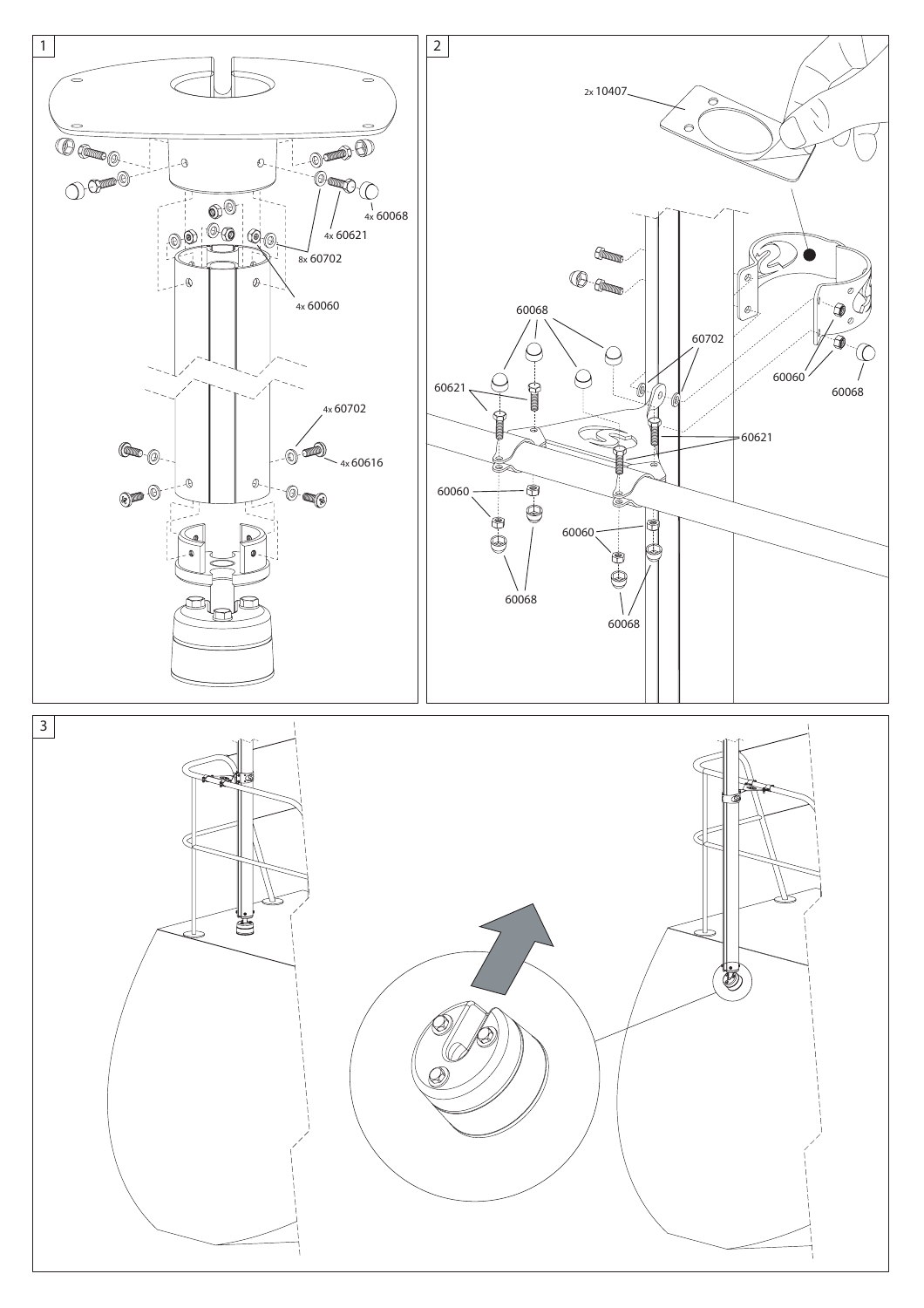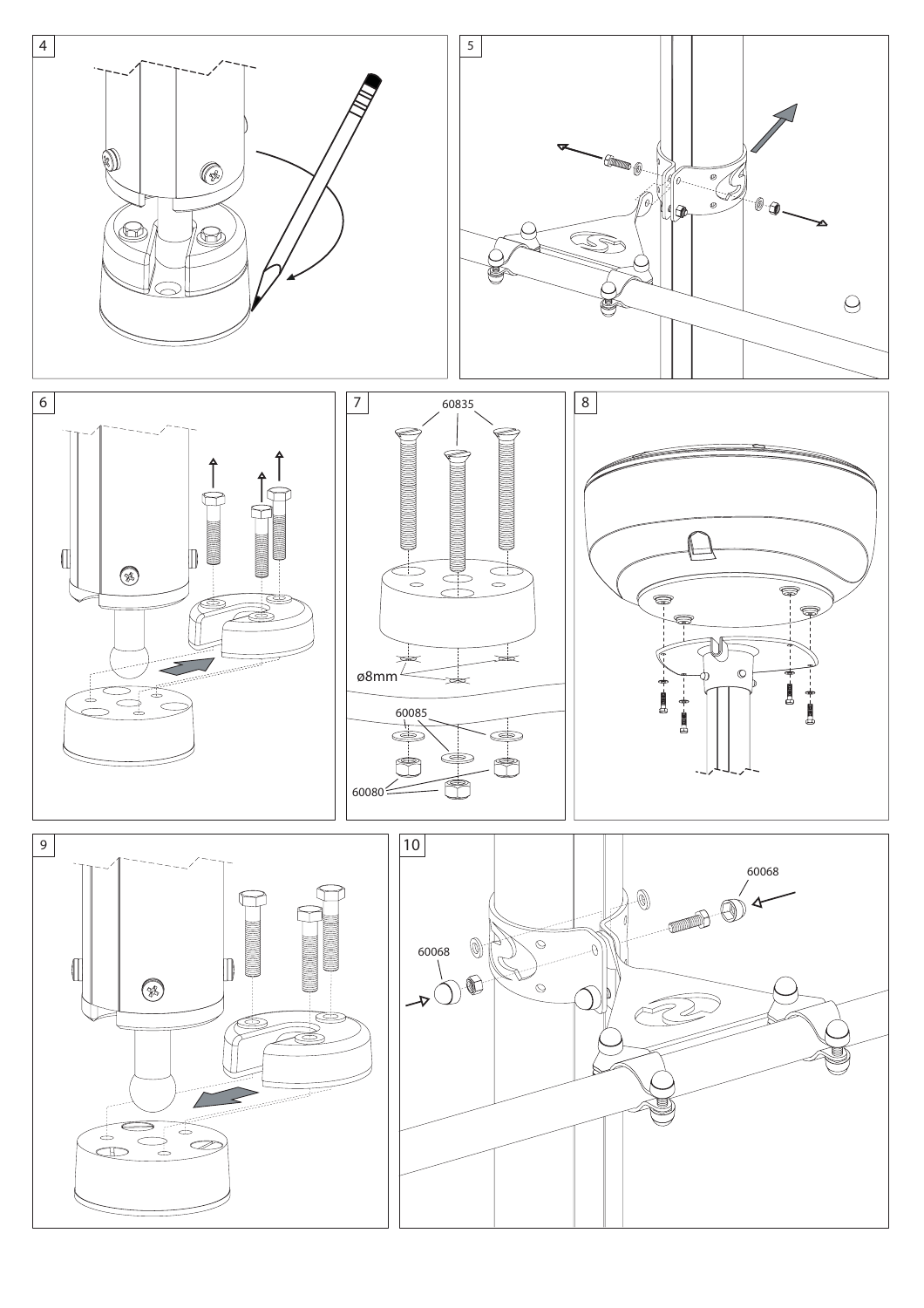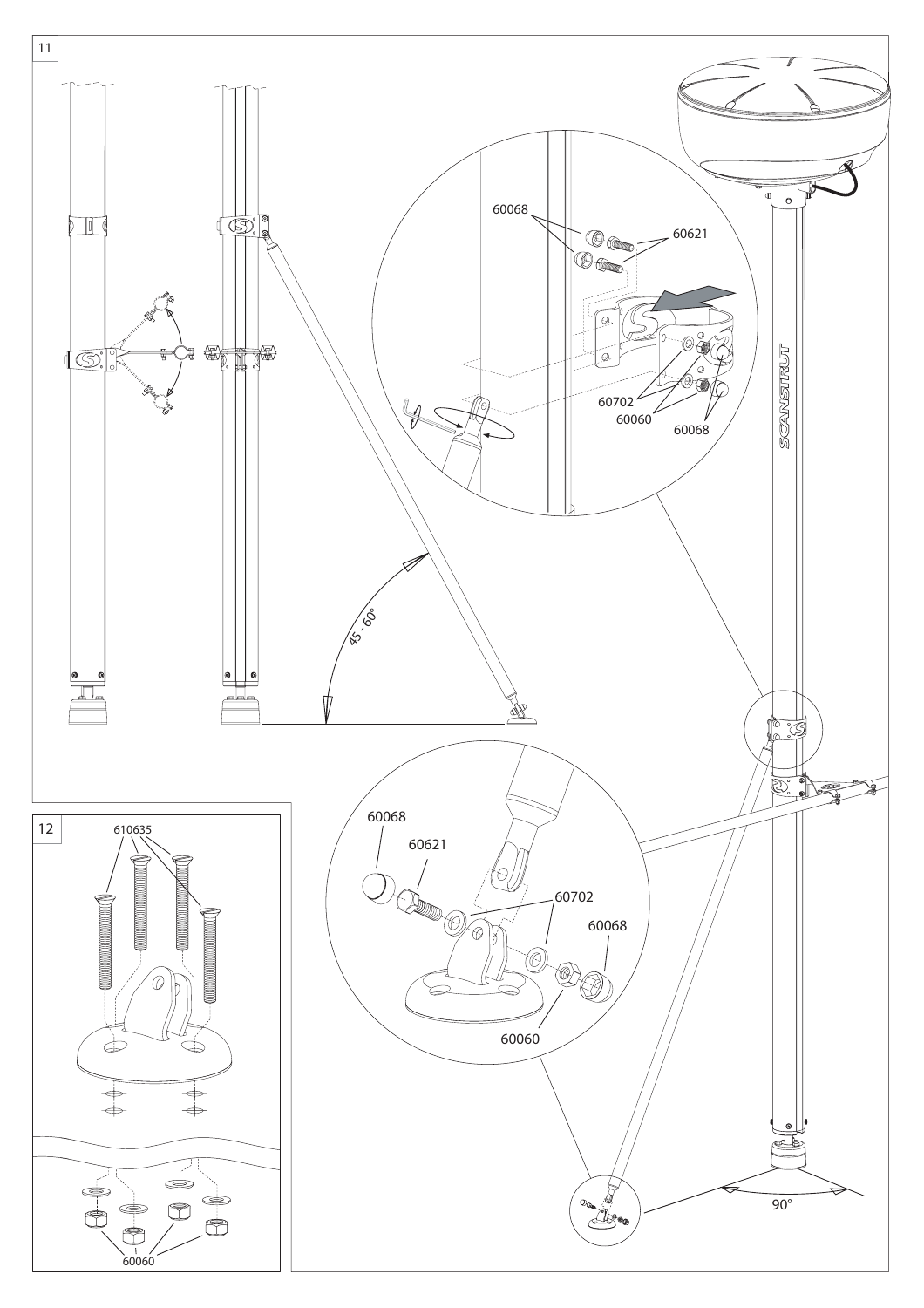